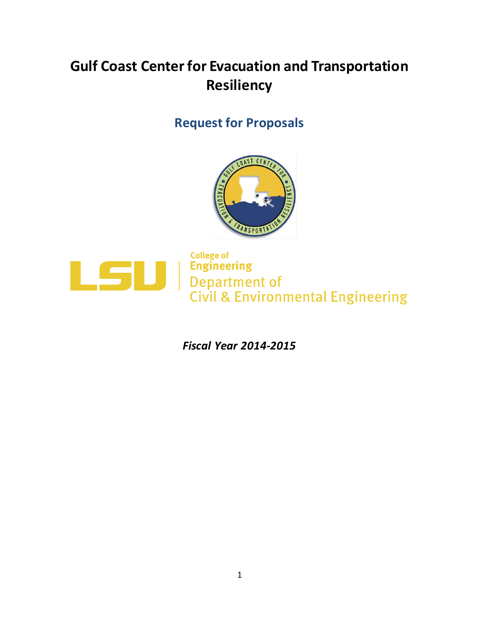# **Gulf Coast Center for Evacuation and Transportation Resiliency**

## **Request for Proposals**





**Engineering<br>
Engineering<br>
Department of<br>
Civil & Environmental Engineering** 

*Fiscal Year 2014-2015*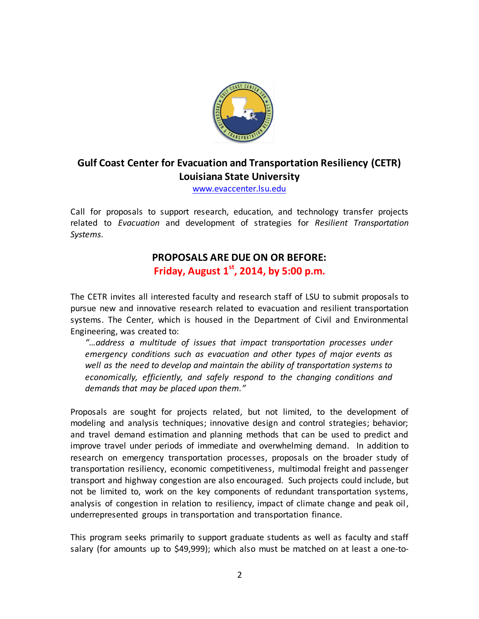

## **Gulf Coast Center for Evacuation and Transportation Resiliency (CETR) Louisiana State University**

[www.evaccenter.lsu.edu](http://www.evaccenter.lsu.edu/)

Call for proposals to support research, education, and technology transfer projects related to *Evacuation* and development of strategies for *Resilient Transportation Systems*.

### **PROPOSALS ARE DUE ON OR BEFORE: Friday, August 1 st, 2014, by 5:00 p.m.**

The CETR invites all interested faculty and research staff of LSU to submit proposals to pursue new and innovative research related to evacuation and resilient transportation systems. The Center, which is housed in the Department of Civil and Environmental Engineering, was created to:

*"…address a multitude of issues that impact transportation processes under emergency conditions such as evacuation and other types of major events as well as the need to develop and maintain the ability of transportation systems to economically, efficiently, and safely respond to the changing conditions and demands that may be placed upon them."*

Proposals are sought for projects related, but not limited, to the development of modeling and analysis techniques; innovative design and control strategies; behavior; and travel demand estimation and planning methods that can be used to predict and improve travel under periods of immediate and overwhelming demand. In addition to research on emergency transportation processes, proposals on the broader study of transportation resiliency, economic competitiveness, multimodal freight and passenger transport and highway congestion are also encouraged. Such projects could include, but not be limited to, work on the key components of redundant transportation systems, analysis of congestion in relation to resiliency, impact of climate change and peak oil, underrepresented groups in transportation and transportation finance.

This program seeks primarily to support graduate students as well as faculty and staff salary (for amounts up to \$49,999); which also must be matched on at least a one-to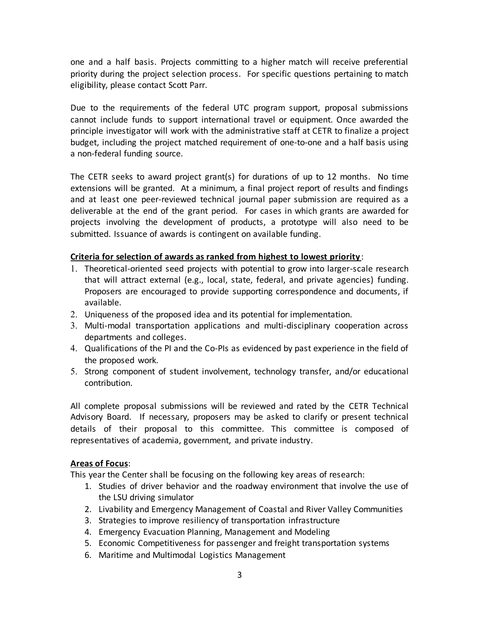one and a half basis. Projects committing to a higher match will receive preferential priority during the project selection process. For specific questions pertaining to match eligibility, please contact Scott Parr.

Due to the requirements of the federal UTC program support, proposal submissions cannot include funds to support international travel or equipment. Once awarded the principle investigator will work with the administrative staff at CETR to finalize a project budget, including the project matched requirement of one-to-one and a half basis using a non-federal funding source.

The CETR seeks to award project grant(s) for durations of up to 12 months. No time extensions will be granted. At a minimum, a final project report of results and findings and at least one peer-reviewed technical journal paper submission are required as a deliverable at the end of the grant period. For cases in which grants are awarded for projects involving the development of products, a prototype will also need to be submitted. Issuance of awards is contingent on available funding.

#### **Criteria for selection of awards as ranked from highest to lowest priority** :

- 1. Theoretical-oriented seed projects with potential to grow into larger-scale research that will attract external (e.g., local, state, federal, and private agencies) funding. Proposers are encouraged to provide supporting correspondence and documents, if available.
- 2. Uniqueness of the proposed idea and its potential for implementation.
- 3. Multi-modal transportation applications and multi-disciplinary cooperation across departments and colleges.
- 4. Qualifications of the PI and the Co-PIs as evidenced by past experience in the field of the proposed work.
- 5. Strong component of student involvement, technology transfer, and/or educational contribution.

All complete proposal submissions will be reviewed and rated by the CETR Technical Advisory Board. If necessary, proposers may be asked to clarify or present technical details of their proposal to this committee. This committee is composed of representatives of academia, government, and private industry.

#### **Areas of Focus**:

This year the Center shall be focusing on the following key areas of research:

- 1. Studies of driver behavior and the roadway environment that involve the use of the LSU driving simulator
- 2. Livability and Emergency Management of Coastal and River Valley Communities
- 3. Strategies to improve resiliency of transportation infrastructure
- 4. Emergency Evacuation Planning, Management and Modeling
- 5. Economic Competitiveness for passenger and freight transportation systems
- 6. Maritime and Multimodal Logistics Management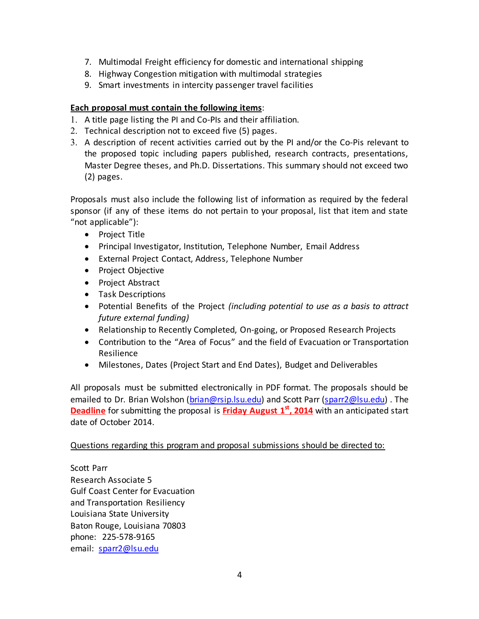- 7. Multimodal Freight efficiency for domestic and international shipping
- 8. Highway Congestion mitigation with multimodal strategies
- 9. Smart investments in intercity passenger travel facilities

#### **Each proposal must contain the following items**:

- 1. A title page listing the PI and Co-PIs and their affiliation.
- 2. Technical description not to exceed five (5) pages.
- 3. A description of recent activities carried out by the PI and/or the Co-Pis relevant to the proposed topic including papers published, research contracts, presentations, Master Degree theses, and Ph.D. Dissertations. This summary should not exceed two (2) pages.

Proposals must also include the following list of information as required by the federal sponsor (if any of these items do not pertain to your proposal, list that item and state "not applicable"):

- Project Title
- Principal Investigator, Institution, Telephone Number, Email Address
- External Project Contact, Address, Telephone Number
- Project Objective
- Project Abstract
- **•** Task Descriptions
- Potential Benefits of the Project *(including potential to use as a basis to attract future external funding)*
- Relationship to Recently Completed, On-going, or Proposed Research Projects
- Contribution to the "Area of Focus" and the field of Evacuation or Transportation Resilience
- Milestones, Dates (Project Start and End Dates), Budget and Deliverables

All proposals must be submitted electronically in PDF format. The proposals should be emailed to Dr. Brian Wolshon [\(brian@rsip.lsu.edu\)](http://us.mc308.mail.yahoo.com/mc/compose?to=brian@rsip.lsu.edu) and Scott Parr [\(sparr2@lsu.edu\)](mailto:sparr2@lsu.edu) . The **Deadline** for submitting the proposal is **Friday August 1 st, 2014** with an anticipated start date of October 2014.

#### Questions regarding this program and proposal submissions should be directed to:

Scott Parr Research Associate 5 Gulf Coast Center for Evacuation and Transportation Resiliency Louisiana State University Baton Rouge, Louisiana 70803 phone: 225-578-9165 email: [sparr2@lsu.edu](mailto:sparr2@lsu.edu)